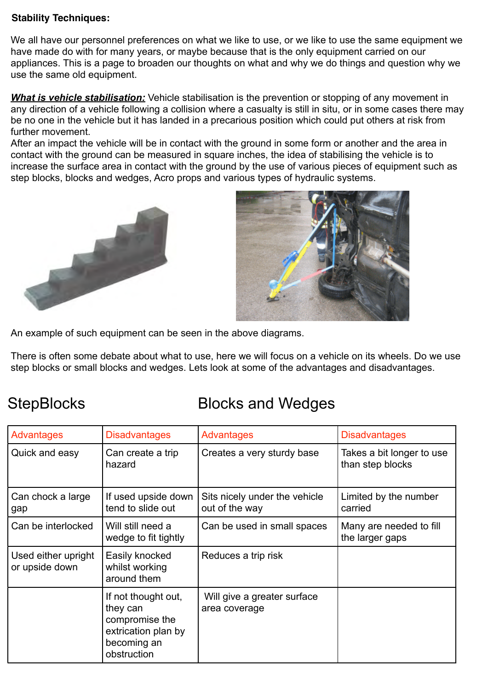## **Stability Techniques:**

We all have our personnel preferences on what we like to use, or we like to use the same equipment we have made do with for many years, or maybe because that is the only equipment carried on our appliances. This is a page to broaden our thoughts on what and why we do things and question why we use the same old equipment.

*What is vehicle stabilisation:* Vehicle stabilisation is the prevention or stopping of any movement in any direction of a vehicle following a collision where a casualty is still in situ, or in some cases there may be no one in the vehicle but it has landed in a precarious position which could put others at risk from further movement.

After an impact the vehicle will be in contact with the ground in some form or another and the area in contact with the ground can be measured in square inches, the idea of stabilising the vehicle is to increase the surface area in contact with the ground by the use of various pieces of equipment such as step blocks, blocks and wedges, Acro props and various types of hydraulic systems.





An example of such equipment can be seen in the above diagrams.

There is often some debate about what to use, here we will focus on a vehicle on its wheels. Do we use step blocks or small blocks and wedges. Lets look at some of the advantages and disadvantages.

## StepBlocks Blocks and Wedges

| <b>Advantages</b>                     | <b>Disadvantages</b>                                                                                   | Advantages                                      | <b>Disadvantages</b>                          |
|---------------------------------------|--------------------------------------------------------------------------------------------------------|-------------------------------------------------|-----------------------------------------------|
| Quick and easy                        | Can create a trip<br>hazard                                                                            | Creates a very sturdy base                      | Takes a bit longer to use<br>than step blocks |
| Can chock a large<br>gap              | If used upside down<br>tend to slide out                                                               | Sits nicely under the vehicle<br>out of the way | Limited by the number<br>carried              |
| Can be interlocked                    | Will still need a<br>wedge to fit tightly                                                              | Can be used in small spaces                     | Many are needed to fill<br>the larger gaps    |
| Used either upright<br>or upside down | Easily knocked<br>whilst working<br>around them                                                        | Reduces a trip risk                             |                                               |
|                                       | If not thought out,<br>they can<br>compromise the<br>extrication plan by<br>becoming an<br>obstruction | Will give a greater surface<br>area coverage    |                                               |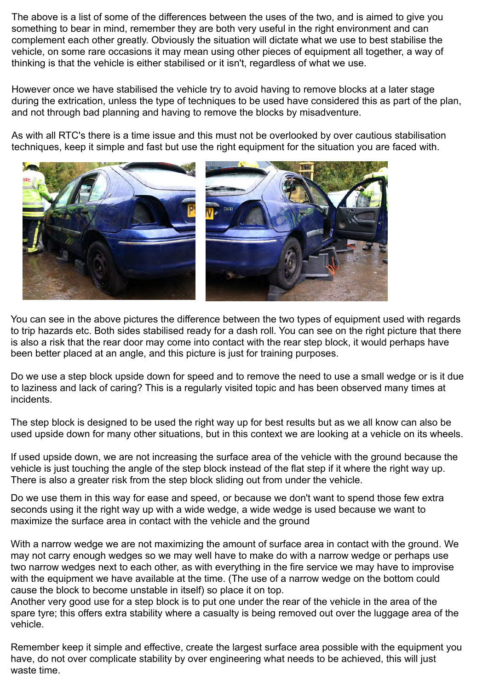The above is a list of some of the differences between the uses of the two, and is aimed to give you something to bear in mind, remember they are both very useful in the right environment and can complement each other greatly. Obviously the situation will dictate what we use to best stabilise the vehicle, on some rare occasions it may mean using other pieces of equipment all together, a way of thinking is that the vehicle is either stabilised or it isn't, regardless of what we use.

However once we have stabilised the vehicle try to avoid having to remove blocks at a later stage during the extrication, unless the type of techniques to be used have considered this as part of the plan, and not through bad planning and having to remove the blocks by misadventure.

As with all RTC's there is a time issue and this must not be overlooked by over cautious stabilisation techniques, keep it simple and fast but use the right equipment for the situation you are faced with.



You can see in the above pictures the difference between the two types of equipment used with regards to trip hazards etc. Both sides stabilised ready for a dash roll. You can see on the right picture that there is also a risk that the rear door may come into contact with the rear step block, it would perhaps have been better placed at an angle, and this picture is just for training purposes.

Do we use a step block upside down for speed and to remove the need to use a small wedge or is it due to laziness and lack of caring? This is a regularly visited topic and has been observed many times at incidents.

The step block is designed to be used the right way up for best results but as we all know can also be used upside down for many other situations, but in this context we are looking at a vehicle on its wheels.

If used upside down, we are not increasing the surface area of the vehicle with the ground because the vehicle is just touching the angle of the step block instead of the flat step if it where the right way up. There is also a greater risk from the step block sliding out from under the vehicle.

Do we use them in this way for ease and speed, or because we don't want to spend those few extra seconds using it the right way up with a wide wedge, a wide wedge is used because we want to maximize the surface area in contact with the vehicle and the ground

With a narrow wedge we are not maximizing the amount of surface area in contact with the ground. We may not carry enough wedges so we may well have to make do with a narrow wedge or perhaps use two narrow wedges next to each other, as with everything in the fire service we may have to improvise with the equipment we have available at the time. (The use of a narrow wedge on the bottom could cause the block to become unstable in itself) so place it on top.

Another very good use for a step block is to put one under the rear of the vehicle in the area of the spare tyre; this offers extra stability where a casualty is being removed out over the luggage area of the vehicle.

Remember keep it simple and effective, create the largest surface area possible with the equipment you have, do not over complicate stability by over engineering what needs to be achieved, this will just waste time.